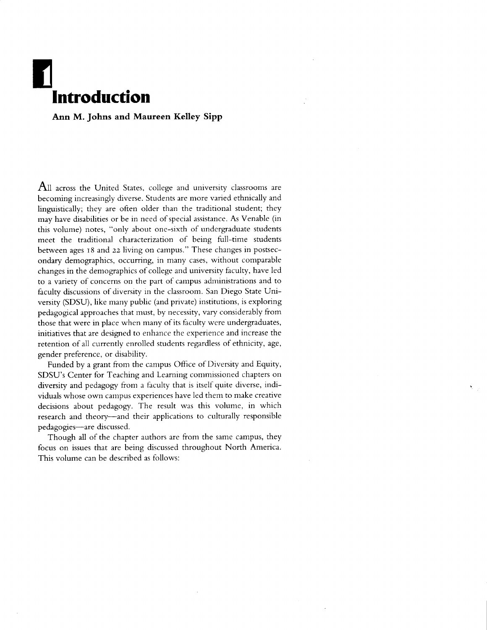## lntroduction

Ann M. Johns and Maureen Kelley Sipp

 ${\bf All}$  across the United States, college and university classrooms are becoming increasingly diverse. Students are more varied ethnically and linguistically; they are often older than the traditional student; they may have disabilities or be in need of special assistance. As Venable (in this volume) notes, "only about one-sixth of undergraduate students meet the traditional characterization of being full-time students berween ages r8 and zz living on campus." These changes in postsecondary demographics, occurring, in many cases, without comparable changes in the demographics of college and universiry faculry, have led to a variefy of concerns on the part of campus administrations and to faculty discussions of diversity in the classroom. San Diego State University (SDSU), like many public (and private) institutions, is exploring pedagogical approaches that must, by necessiry, vary considerably from those that were in place when many of its faculty were undergraduates, initiatives that are designed to enhance the experience and increase the retention of all currently enrolled students regardless of ethnicity, age, gender preference, or disability.

Funded by a grant from the campus Office of Diversity and Equity, SDSU's Center for Teaching and Learning commissioned chapters on diversity and pedagogy from a faculty that is itself quite diverse, individuals whose own campus experiences have led them to make creative decisions about pedagogy. The result was this volume, in which research and theory-and their applications to culturally responsible pedagogies-are discussed.

Though all of the chapter authors are from the same campus, they focus on issues that are being discussed throughout North America. This volume can be described as follows: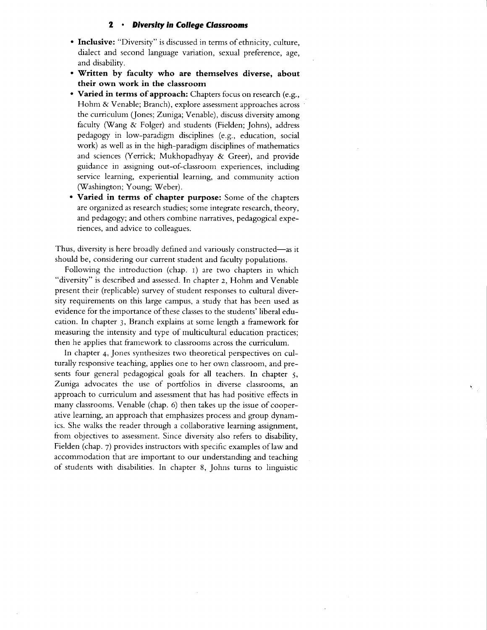## 2 . Diversity in College Classrooms

- Inclusive: "Diversity" is discussed in terms of ethnicity, culture, dialect and second language variation, sexual preference, age, and disability.
- who masses.<br>Written by faculty who are themselves diverse, abou their own work in the classroom
- Varied in terms of approach: Chapters focus on research (e.g., Hohm & Venable; Branch), explore assessment approaches across the curriculum (Jones; Zuniga; Venable), discuss diversity among faculty (Wang & Folger) and students (Fielden; Johns), address pedagogy in low-paradigm disciplines (e.g., education, social work) as well as in the high-paradigm disciplines of mathematics and sciences (Yerrick; Mukhopadhyay & Greer), and provide guidance in assigning out-of-classroom experiences, including service leaming, experiential learning, and communiry action (Washington; Young; Weber).
- Varied in terms of chapter purpose: Some of the chapters are organized as research studies; some integrate research, theory, and pedagogy; and others combine narratives, pedagogical experiences, and advice to colleagues.

Thus, diversity is here broadly defined and variously constructed-as it should be, considering our current student and faculty populations.

Following the introduction (chap. r) are two chapters in which "diversiry" is described and assessed. In chapter z, Hohm and Venable present their (replicable) survey of student responses to cultural diversiry requirements on this large campus, a study that has been used as evidence for the importance of these classes to the students' liberal education. In chapter 3, Branch explains at some length a framework for measuring the intensity and type of multicultural education practices; then he applies that framework to classrooms across the curriculum.

In chapter 4, Jones synthesizes two theoretical perspectives on culturally responsive teaching, applies one to her own classroom, and presents four general pedagogical goals for all teachers. In chapter 5, Zuniga advocates the use of portfolios in diverse classrooms, an approach to curriculum and assessment that has had positive effects in many classrooms. Venable (chap. 6) then takes up the issue of cooperative learning, an approach that emphasizes process and group dynamics. She walks the reader through a collaborative learning assignment, from objectives to assessment. Since diversity also refers to disabiliry, Fielden (chap. 7) provides instructors with specific examples of law and accommodation that are important to our understanding and teaching of students with disabilities. In chapter 8, Johns turns to linguistic